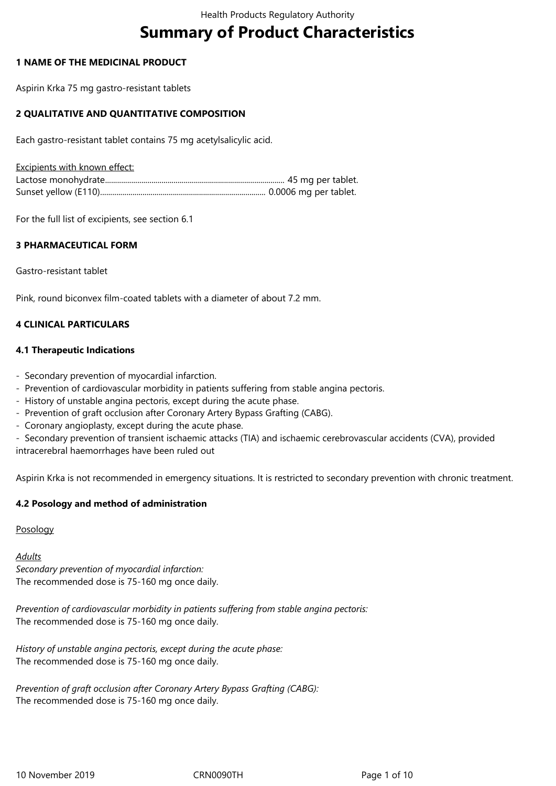# **Summary of Product Characteristics**

### **1 NAME OF THE MEDICINAL PRODUCT**

Aspirin Krka 75 mg gastro-resistant tablets

### **2 QUALITATIVE AND QUANTITATIVE COMPOSITION**

Each gastro-resistant tablet contains 75 mg acetylsalicylic acid.

Excipients with known effect:

For the full list of excipients, see section 6.1

### **3 PHARMACEUTICAL FORM**

Gastro-resistant tablet

Pink, round biconvex film-coated tablets with a diameter of about 7.2 mm.

### **4 CLINICAL PARTICULARS**

#### **4.1 Therapeutic Indications**

- Secondary prevention of myocardial infarction.
- Prevention of cardiovascular morbidity in patients suffering from stable angina pectoris.
- History of unstable angina pectoris, except during the acute phase.
- Prevention of graft occlusion after Coronary Artery Bypass Grafting (CABG).
- Coronary angioplasty, except during the acute phase.

- Secondary prevention of transient ischaemic attacks (TIA) and ischaemic cerebrovascular accidents (CVA), provided intracerebral haemorrhages have been ruled out

Aspirin Krka is not recommended in emergency situations. It is restricted to secondary prevention with chronic treatment.

#### **4.2 Posology and method of administration**

#### Posology

#### *Adults*

*Secondary prevention of myocardial infarction:* The recommended dose is 75-160 mg once daily.

*Prevention of cardiovascular morbidity in patients suffering from stable angina pectoris:* The recommended dose is 75-160 mg once daily.

*History of unstable angina pectoris, except during the acute phase:* The recommended dose is 75-160 mg once daily.

*Prevention of graft occlusion after Coronary Artery Bypass Grafting (CABG):* The recommended dose is 75-160 mg once daily.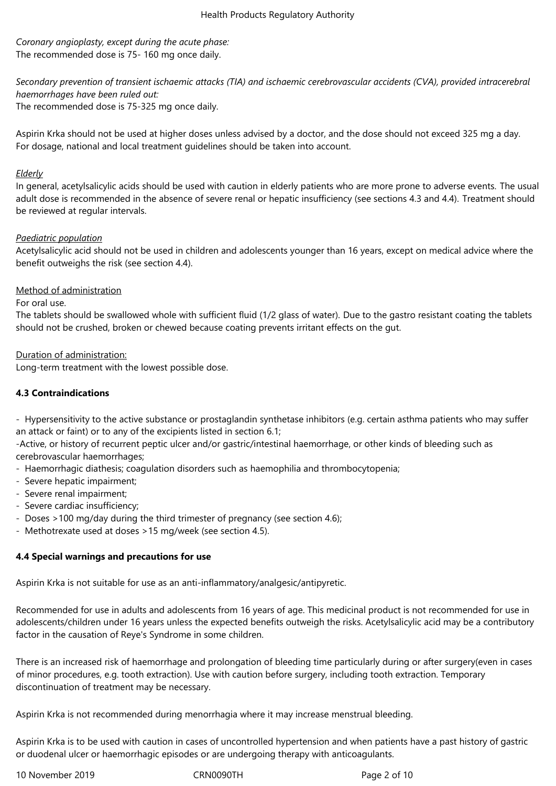*Coronary angioplasty, except during the acute phase:* The recommended dose is 75- 160 mg once daily.

*Secondary prevention of transient ischaemic attacks (TIA) and ischaemic cerebrovascular accidents (CVA), provided intracerebral haemorrhages have been ruled out:* The recommended dose is 75-325 mg once daily.

Aspirin Krka should not be used at higher doses unless advised by a doctor, and the dose should not exceed 325 mg a day. For dosage, national and local treatment guidelines should be taken into account.

### *Elderly*

In general, acetylsalicylic acids should be used with caution in elderly patients who are more prone to adverse events. The usual adult dose is recommended in the absence of severe renal or hepatic insufficiency (see sections 4.3 and 4.4). Treatment should be reviewed at regular intervals.

### *Paediatric population*

Acetylsalicylic acid should not be used in children and adolescents younger than 16 years, except on medical advice where the benefit outweighs the risk (see section 4.4).

### Method of administration

### For oral use.

The tablets should be swallowed whole with sufficient fluid (1/2 glass of water). Due to the gastro resistant coating the tablets should not be crushed, broken or chewed because coating prevents irritant effects on the gut.

### Duration of administration:

Long-term treatment with the lowest possible dose.

### **4.3 Contraindications**

- Hypersensitivity to the active substance or prostaglandin synthetase inhibitors (e.g. certain asthma patients who may suffer an attack or faint) or to any of the excipients listed in section 6.1;

-Active, or history of recurrent peptic ulcer and/or gastric/intestinal haemorrhage, or other kinds of bleeding such as cerebrovascular haemorrhages;

- Haemorrhagic diathesis; coagulation disorders such as haemophilia and thrombocytopenia;
- Severe hepatic impairment;
- Severe renal impairment;
- Severe cardiac insufficiency;
- Doses >100 mg/day during the third trimester of pregnancy (see section 4.6);
- Methotrexate used at doses >15 mg/week (see section 4.5).

### **4.4 Special warnings and precautions for use**

Aspirin Krka is not suitable for use as an anti-inflammatory/analgesic/antipyretic.

Recommended for use in adults and adolescents from 16 years of age. This medicinal product is not recommended for use in adolescents/children under 16 years unless the expected benefits outweigh the risks. Acetylsalicylic acid may be a contributory factor in the causation of Reye's Syndrome in some children.

There is an increased risk of haemorrhage and prolongation of bleeding time particularly during or after surgery(even in cases of minor procedures, e.g. tooth extraction). Use with caution before surgery, including tooth extraction. Temporary discontinuation of treatment may be necessary.

Aspirin Krka is not recommended during menorrhagia where it may increase menstrual bleeding.

Aspirin Krka is to be used with caution in cases of uncontrolled hypertension and when patients have a past history of gastric or duodenal ulcer or haemorrhagic episodes or are undergoing therapy with anticoagulants.

10 November 2019 CRN0090TH Page 2 of 10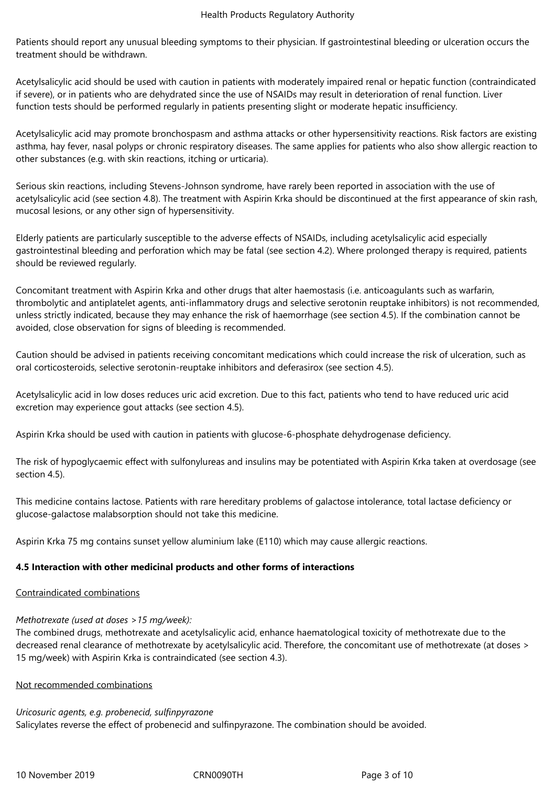Patients should report any unusual bleeding symptoms to their physician. If gastrointestinal bleeding or ulceration occurs the treatment should be withdrawn.

Acetylsalicylic acid should be used with caution in patients with moderately impaired renal or hepatic function (contraindicated if severe), or in patients who are dehydrated since the use of NSAIDs may result in deterioration of renal function. Liver function tests should be performed regularly in patients presenting slight or moderate hepatic insufficiency.

Acetylsalicylic acid may promote bronchospasm and asthma attacks or other hypersensitivity reactions. Risk factors are existing asthma, hay fever, nasal polyps or chronic respiratory diseases. The same applies for patients who also show allergic reaction to other substances (e.g. with skin reactions, itching or urticaria).

Serious skin reactions, including Stevens-Johnson syndrome, have rarely been reported in association with the use of acetylsalicylic acid (see section 4.8). The treatment with Aspirin Krka should be discontinued at the first appearance of skin rash, mucosal lesions, or any other sign of hypersensitivity.

Elderly patients are particularly susceptible to the adverse effects of NSAIDs, including acetylsalicylic acid especially gastrointestinal bleeding and perforation which may be fatal (see section 4.2). Where prolonged therapy is required, patients should be reviewed regularly.

Concomitant treatment with Aspirin Krka and other drugs that alter haemostasis (i.e. anticoagulants such as warfarin, thrombolytic and antiplatelet agents, anti-inflammatory drugs and selective serotonin reuptake inhibitors) is not recommended, unless strictly indicated, because they may enhance the risk of haemorrhage (see section 4.5). If the combination cannot be avoided, close observation for signs of bleeding is recommended.

Caution should be advised in patients receiving concomitant medications which could increase the risk of ulceration, such as oral corticosteroids, selective serotonin-reuptake inhibitors and deferasirox (see section 4.5).

Acetylsalicylic acid in low doses reduces uric acid excretion. Due to this fact, patients who tend to have reduced uric acid excretion may experience gout attacks (see section 4.5).

Aspirin Krka should be used with caution in patients with glucose-6-phosphate dehydrogenase deficiency.

The risk of hypoglycaemic effect with sulfonylureas and insulins may be potentiated with Aspirin Krka taken at overdosage (see section 4.5).

This medicine contains lactose. Patients with rare hereditary problems of galactose intolerance, total lactase deficiency or glucose-galactose malabsorption should not take this medicine.

Aspirin Krka 75 mg contains sunset yellow aluminium lake (E110) which may cause allergic reactions.

# **4.5 Interaction with other medicinal products and other forms of interactions**

Contraindicated combinations

# *Methotrexate (used at doses >15 mg/week):*

The combined drugs, methotrexate and acetylsalicylic acid, enhance haematological toxicity of methotrexate due to the decreased renal clearance of methotrexate by acetylsalicylic acid. Therefore, the concomitant use of methotrexate (at doses > 15 mg/week) with Aspirin Krka is contraindicated (see section 4.3).

# Not recommended combinations

*Uricosuric agents, e.g. probenecid, sulfinpyrazone* Salicylates reverse the effect of probenecid and sulfinpyrazone. The combination should be avoided.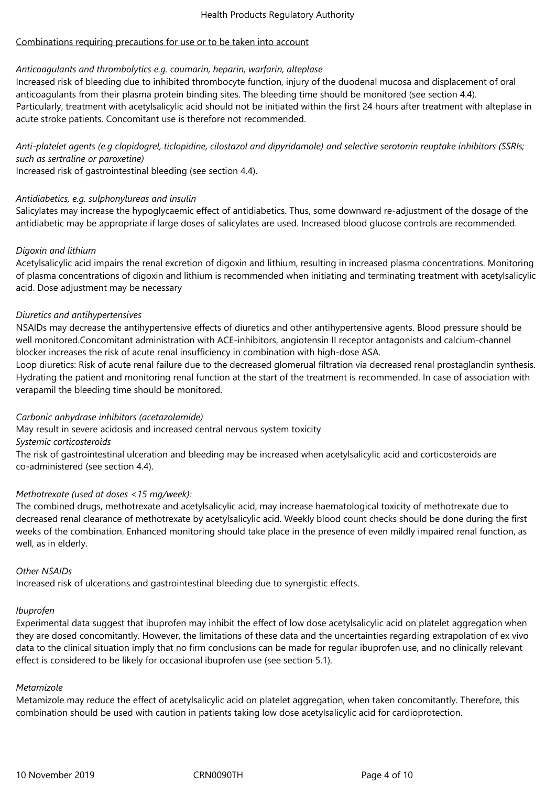### Combinations requiring precautions for use or to be taken into account

### *Anticoagulants and thrombolytics e.g. coumarin, heparin, warfarin, alteplase*

Increased risk of bleeding due to inhibited thrombocyte function, injury of the duodenal mucosa and displacement of oral anticoagulants from their plasma protein binding sites. The bleeding time should be monitored (see section 4.4). Particularly, treatment with acetylsalicylic acid should not be initiated within the first 24 hours after treatment with alteplase in acute stroke patients. Concomitant use is therefore not recommended.

*Anti-platelet agents (e.g clopidogrel, ticlopidine, cilostazol and dipyridamole) and selective serotonin reuptake inhibitors (SSRIs; such as sertraline or paroxetine)*

Increased risk of gastrointestinal bleeding (see section 4.4).

### *Antidiabetics, e.g. sulphonylureas and insulin*

Salicylates may increase the hypoglycaemic effect of antidiabetics. Thus, some downward re-adjustment of the dosage of the antidiabetic may be appropriate if large doses of salicylates are used. Increased blood glucose controls are recommended.

### *Digoxin and lithium*

Acetylsalicylic acid impairs the renal excretion of digoxin and lithium, resulting in increased plasma concentrations. Monitoring of plasma concentrations of digoxin and lithium is recommended when initiating and terminating treatment with acetylsalicylic acid. Dose adjustment may be necessary

### *Diuretics and antihypertensives*

NSAIDs may decrease the antihypertensive effects of diuretics and other antihypertensive agents. Blood pressure should be well monitored.Concomitant administration with ACE-inhibitors, angiotensin II receptor antagonists and calcium-channel blocker increases the risk of acute renal insufficiency in combination with high-dose ASA.

Loop diuretics: Risk of acute renal failure due to the decreased glomerual filtration via decreased renal prostaglandin synthesis. Hydrating the patient and monitoring renal function at the start of the treatment is recommended. In case of association with verapamil the bleeding time should be monitored.

#### *Carbonic anhydrase inhibitors (acetazolamide)*

May result in severe acidosis and increased central nervous system toxicity

#### *Systemic corticosteroids*

The risk of gastrointestinal ulceration and bleeding may be increased when acetylsalicylic acid and corticosteroids are co-administered (see section 4.4).

### *Methotrexate (used at doses <15 mg/week):*

The combined drugs, methotrexate and acetylsalicylic acid, may increase haematological toxicity of methotrexate due to decreased renal clearance of methotrexate by acetylsalicylic acid. Weekly blood count checks should be done during the first weeks of the combination. Enhanced monitoring should take place in the presence of even mildly impaired renal function, as well, as in elderly.

#### *Other NSAIDs*

Increased risk of ulcerations and gastrointestinal bleeding due to synergistic effects.

#### *Ibuprofen*

Experimental data suggest that ibuprofen may inhibit the effect of low dose acetylsalicylic acid on platelet aggregation when they are dosed concomitantly. However, the limitations of these data and the uncertainties regarding extrapolation of ex vivo data to the clinical situation imply that no firm conclusions can be made for regular ibuprofen use, and no clinically relevant effect is considered to be likely for occasional ibuprofen use (see section 5.1).

#### *Metamizole*

Metamizole may reduce the effect of acetylsalicylic acid on platelet aggregation, when taken concomitantly. Therefore, this combination should be used with caution in patients taking low dose acetylsalicylic acid for cardioprotection.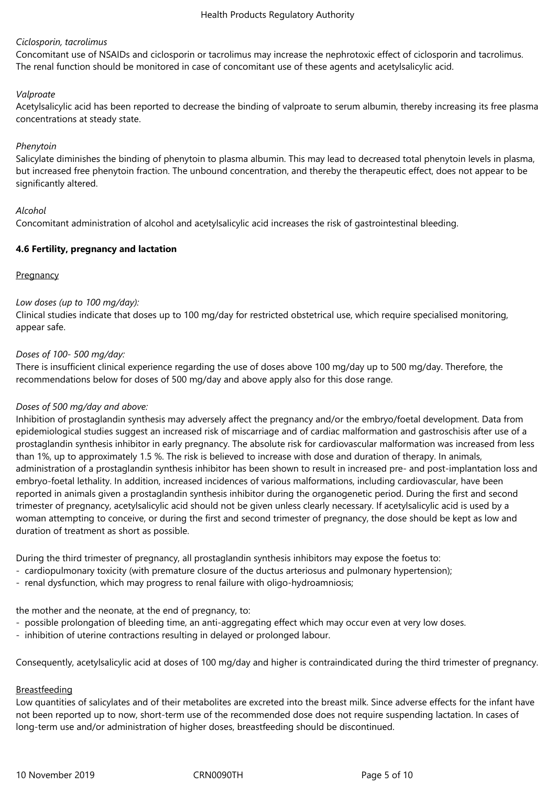### *Ciclosporin, tacrolimus*

Concomitant use of NSAIDs and ciclosporin or tacrolimus may increase the nephrotoxic effect of ciclosporin and tacrolimus. The renal function should be monitored in case of concomitant use of these agents and acetylsalicylic acid.

#### *Valproate*

Acetylsalicylic acid has been reported to decrease the binding of valproate to serum albumin, thereby increasing its free plasma concentrations at steady state.

#### *Phenytoin*

Salicylate diminishes the binding of phenytoin to plasma albumin. This may lead to decreased total phenytoin levels in plasma, but increased free phenytoin fraction. The unbound concentration, and thereby the therapeutic effect, does not appear to be significantly altered.

#### *Alcohol*

Concomitant administration of alcohol and acetylsalicylic acid increases the risk of gastrointestinal bleeding.

#### **4.6 Fertility, pregnancy and lactation**

#### **Pregnancy**

#### *Low doses (up to 100 mg/day):*

Clinical studies indicate that doses up to 100 mg/day for restricted obstetrical use, which require specialised monitoring, appear safe.

#### *Doses of 100- 500 mg/day:*

There is insufficient clinical experience regarding the use of doses above 100 mg/day up to 500 mg/day. Therefore, the recommendations below for doses of 500 mg/day and above apply also for this dose range.

#### *Doses of 500 mg/day and above:*

Inhibition of prostaglandin synthesis may adversely affect the pregnancy and/or the embryo/foetal development. Data from epidemiological studies suggest an increased risk of miscarriage and of cardiac malformation and gastroschisis after use of a prostaglandin synthesis inhibitor in early pregnancy. The absolute risk for cardiovascular malformation was increased from less than 1%, up to approximately 1.5 %. The risk is believed to increase with dose and duration of therapy. In animals, administration of a prostaglandin synthesis inhibitor has been shown to result in increased pre- and post-implantation loss and embryo-foetal lethality. In addition, increased incidences of various malformations, including cardiovascular, have been reported in animals given a prostaglandin synthesis inhibitor during the organogenetic period. During the first and second trimester of pregnancy, acetylsalicylic acid should not be given unless clearly necessary. If acetylsalicylic acid is used by a woman attempting to conceive, or during the first and second trimester of pregnancy, the dose should be kept as low and duration of treatment as short as possible.

During the third trimester of pregnancy, all prostaglandin synthesis inhibitors may expose the foetus to:

- cardiopulmonary toxicity (with premature closure of the ductus arteriosus and pulmonary hypertension);
- renal dysfunction, which may progress to renal failure with oligo-hydroamniosis;

the mother and the neonate, at the end of pregnancy, to:

- possible prolongation of bleeding time, an anti-aggregating effect which may occur even at very low doses.
- inhibition of uterine contractions resulting in delayed or prolonged labour.

Consequently, acetylsalicylic acid at doses of 100 mg/day and higher is contraindicated during the third trimester of pregnancy.

#### Breastfeeding

Low quantities of salicylates and of their metabolites are excreted into the breast milk. Since adverse effects for the infant have not been reported up to now, short-term use of the recommended dose does not require suspending lactation. In cases of long-term use and/or administration of higher doses, breastfeeding should be discontinued.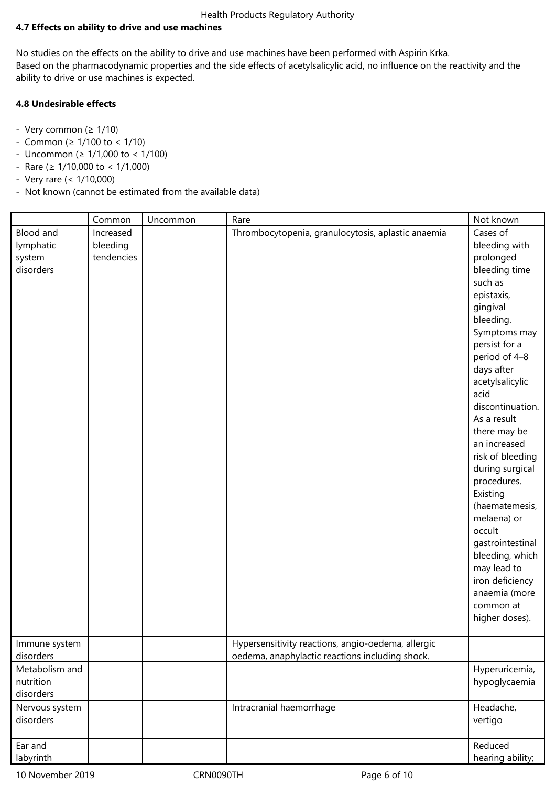### **4.7 Effects on ability to drive and use machines**

No studies on the effects on the ability to drive and use machines have been performed with Aspirin Krka. Based on the pharmacodynamic properties and the side effects of acetylsalicylic acid, no influence on the reactivity and the ability to drive or use machines is expected.

### **4.8 Undesirable effects**

- Very common ( $\geq 1/10$ )
- Common (≥ 1/100 to < 1/10)
- Uncommon (≥ 1/1,000 to < 1/100)
- $-$  Rare (≥ 1/10,000 to < 1/1,000)
- Very rare (< 1/10,000)
- Not known (cannot be estimated from the available data)

|                                               | Common                              | Uncommon | Rare                                                                                                  | Not known                                                                                                                                                                                                                                                                                                                                                                                                                                                                                                     |
|-----------------------------------------------|-------------------------------------|----------|-------------------------------------------------------------------------------------------------------|---------------------------------------------------------------------------------------------------------------------------------------------------------------------------------------------------------------------------------------------------------------------------------------------------------------------------------------------------------------------------------------------------------------------------------------------------------------------------------------------------------------|
| Blood and<br>lymphatic<br>system<br>disorders | Increased<br>bleeding<br>tendencies |          | Thrombocytopenia, granulocytosis, aplastic anaemia                                                    | Cases of<br>bleeding with<br>prolonged<br>bleeding time<br>such as<br>epistaxis,<br>gingival<br>bleeding.<br>Symptoms may<br>persist for a<br>period of 4-8<br>days after<br>acetylsalicylic<br>acid<br>discontinuation.<br>As a result<br>there may be<br>an increased<br>risk of bleeding<br>during surgical<br>procedures.<br>Existing<br>(haematemesis,<br>melaena) or<br>occult<br>gastrointestinal<br>bleeding, which<br>may lead to<br>iron deficiency<br>anaemia (more<br>common at<br>higher doses). |
| Immune system<br>disorders                    |                                     |          | Hypersensitivity reactions, angio-oedema, allergic<br>oedema, anaphylactic reactions including shock. |                                                                                                                                                                                                                                                                                                                                                                                                                                                                                                               |
| Metabolism and<br>nutrition<br>disorders      |                                     |          |                                                                                                       | Hyperuricemia,<br>hypoglycaemia                                                                                                                                                                                                                                                                                                                                                                                                                                                                               |
| Nervous system<br>disorders                   |                                     |          | Intracranial haemorrhage                                                                              | Headache,<br>vertigo                                                                                                                                                                                                                                                                                                                                                                                                                                                                                          |
| Ear and<br>labyrinth                          |                                     |          |                                                                                                       | Reduced<br>hearing ability;                                                                                                                                                                                                                                                                                                                                                                                                                                                                                   |

10 November 2019 CRN0090TH Page 6 of 10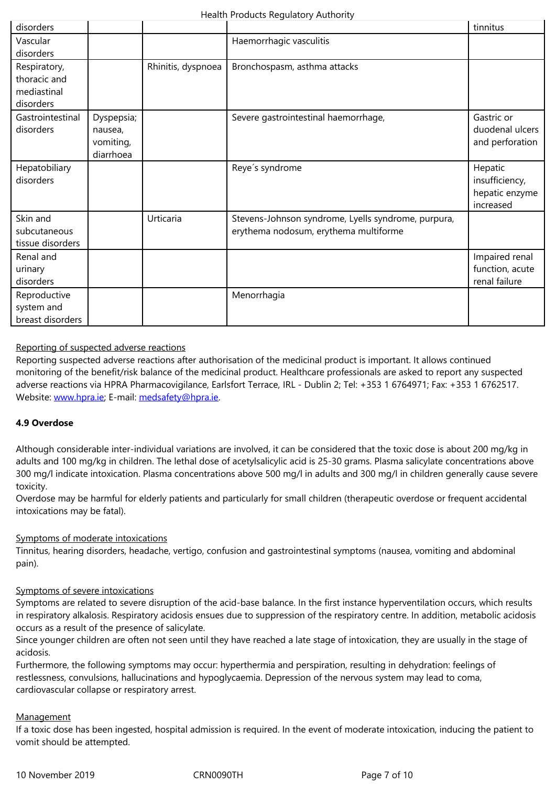| disorders                                                |                                                 |                    |                                                                                              |                                                          |
|----------------------------------------------------------|-------------------------------------------------|--------------------|----------------------------------------------------------------------------------------------|----------------------------------------------------------|
| Respiratory,<br>thoracic and<br>mediastinal<br>disorders |                                                 | Rhinitis, dyspnoea | Bronchospasm, asthma attacks                                                                 |                                                          |
| Gastrointestinal<br>disorders                            | Dyspepsia;<br>nausea,<br>vomiting,<br>diarrhoea |                    | Severe gastrointestinal haemorrhage,                                                         | Gastric or<br>duodenal ulcers<br>and perforation         |
| Hepatobiliary<br>disorders                               |                                                 |                    | Reye's syndrome                                                                              | Hepatic<br>insufficiency,<br>hepatic enzyme<br>increased |
| Skin and<br>subcutaneous<br>tissue disorders             |                                                 | Urticaria          | Stevens-Johnson syndrome, Lyells syndrome, purpura,<br>erythema nodosum, erythema multiforme |                                                          |
| Renal and<br>urinary<br>disorders                        |                                                 |                    |                                                                                              | Impaired renal<br>function, acute<br>renal failure       |
| Reproductive<br>system and<br>breast disorders           |                                                 |                    | Menorrhagia                                                                                  |                                                          |

### Reporting of suspected adverse reactions

Reporting suspected adverse reactions after authorisation of the medicinal product is important. It allows continued monitoring of the benefit/risk balance of the medicinal product. Healthcare professionals are asked to report any suspected adverse reactions via HPRA Pharmacovigilance, Earlsfort Terrace, IRL - Dublin 2; Tel: +353 1 6764971; Fax: +353 1 6762517. Website: www.hpra.ie; E-mail: medsafety@hpra.ie.

#### **4.9 Overdose**

Althoug[h considerable](http://www.hpra.ie/) inter-i[ndividual variations a](mailto:medsafety@hpra.ie)re involved, it can be considered that the toxic dose is about 200 mg/kg in adults and 100 mg/kg in children. The lethal dose of acetylsalicylic acid is 25‑30 grams. Plasma salicylate concentrations above 300 mg/l indicate intoxication. Plasma concentrations above 500 mg/l in adults and 300 mg/l in children generally cause severe toxicity.

Overdose may be harmful for elderly patients and particularly for small children (therapeutic overdose or frequent accidental intoxications may be fatal).

#### Symptoms of moderate intoxications

Tinnitus, hearing disorders, headache, vertigo, confusion and gastrointestinal symptoms (nausea, vomiting and abdominal pain).

#### Symptoms of severe intoxications

Symptoms are related to severe disruption of the acid-base balance. In the first instance hyperventilation occurs, which results in respiratory alkalosis. Respiratory acidosis ensues due to suppression of the respiratory centre. In addition, metabolic acidosis occurs as a result of the presence of salicylate.

Since younger children are often not seen until they have reached a late stage of intoxication, they are usually in the stage of acidosis.

Furthermore, the following symptoms may occur: hyperthermia and perspiration, resulting in dehydration: feelings of restlessness, convulsions, hallucinations and hypoglycaemia. Depression of the nervous system may lead to coma, cardiovascular collapse or respiratory arrest.

#### Management

If a toxic dose has been ingested, hospital admission is required. In the event of moderate intoxication, inducing the patient to vomit should be attempted.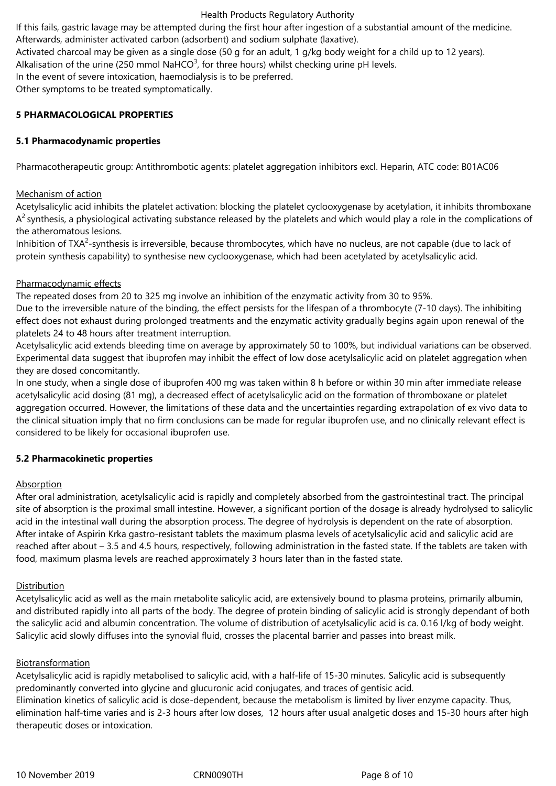#### Health Products Regulatory Authority

If this fails, gastric lavage may be attempted during the first hour after ingestion of a substantial amount of the medicine.

Afterwards, administer activated carbon (adsorbent) and sodium sulphate (laxative).

Activated charcoal may be given as a single dose (50 g for an adult, 1 g/kg body weight for a child up to 12 years).

Alkalisation of the urine (250 mmol NaHCO<sup>3</sup>, for three hours) whilst checking urine pH levels.

In the event of severe intoxication, haemodialysis is to be preferred.

Other symptoms to be treated symptomatically.

### **5 PHARMACOLOGICAL PROPERTIES**

### **5.1 Pharmacodynamic properties**

Pharmacotherapeutic group: Antithrombotic agents: platelet aggregation inhibitors excl. Heparin, ATC code: B01AC06

### Mechanism of action

Acetylsalicylic acid inhibits the platelet activation: blocking the platelet cyclooxygenase by acetylation, it inhibits thromboxane  $A^2$ synthesis, a physiological activating substance released by the platelets and which would play a role in the complications of the atheromatous lesions.

Inhibition of TXA<sup>2</sup>-synthesis is irreversible, because thrombocytes, which have no nucleus, are not capable (due to lack of protein synthesis capability) to synthesise new cyclooxygenase, which had been acetylated by acetylsalicylic acid.

### Pharmacodynamic effects

The repeated doses from 20 to 325 mg involve an inhibition of the enzymatic activity from 30 to 95%.

Due to the irreversible nature of the binding, the effect persists for the lifespan of a thrombocyte (7-10 days). The inhibiting effect does not exhaust during prolonged treatments and the enzymatic activity gradually begins again upon renewal of the platelets 24 to 48 hours after treatment interruption.

Acetylsalicylic acid extends bleeding time on average by approximately 50 to 100%, but individual variations can be observed. Experimental data suggest that ibuprofen may inhibit the effect of low dose acetylsalicylic acid on platelet aggregation when they are dosed concomitantly.

In one study, when a single dose of ibuprofen 400 mg was taken within 8 h before or within 30 min after immediate release acetylsalicylic acid dosing (81 mg), a decreased effect of acetylsalicylic acid on the formation of thromboxane or platelet aggregation occurred. However, the limitations of these data and the uncertainties regarding extrapolation of ex vivo data to the clinical situation imply that no firm conclusions can be made for regular ibuprofen use, and no clinically relevant effect is considered to be likely for occasional ibuprofen use.

### **5.2 Pharmacokinetic properties**

#### Absorption

After oral administration, acetylsalicylic acid is rapidly and completely absorbed from the gastrointestinal tract. The principal site of absorption is the proximal small intestine. However, a significant portion of the dosage is already hydrolysed to salicylic acid in the intestinal wall during the absorption process. The degree of hydrolysis is dependent on the rate of absorption. After intake of Aspirin Krka gastro-resistant tablets the maximum plasma levels of acetylsalicylic acid and salicylic acid are reached after about – 3.5 and 4.5 hours, respectively, following administration in the fasted state. If the tablets are taken with food, maximum plasma levels are reached approximately 3 hours later than in the fasted state.

### **Distribution**

Acetylsalicylic acid as well as the main metabolite salicylic acid, are extensively bound to plasma proteins, primarily albumin, and distributed rapidly into all parts of the body. The degree of protein binding of salicylic acid is strongly dependant of both the salicylic acid and albumin concentration. The volume of distribution of acetylsalicylic acid is ca. 0.16 l/kg of body weight. Salicylic acid slowly diffuses into the synovial fluid, crosses the placental barrier and passes into breast milk.

### Biotransformation

Acetylsalicylic acid is rapidly metabolised to salicylic acid, with a half-life of 15-30 minutes. Salicylic acid is subsequently predominantly converted into glycine and glucuronic acid conjugates, and traces of gentisic acid. Elimination kinetics of salicylic acid is dose-dependent, because the metabolism is limited by liver enzyme capacity. Thus,

elimination half-time varies and is 2‑3 hours after low doses, 12 hours after usual analgetic doses and 15-30 hours after high therapeutic doses or intoxication.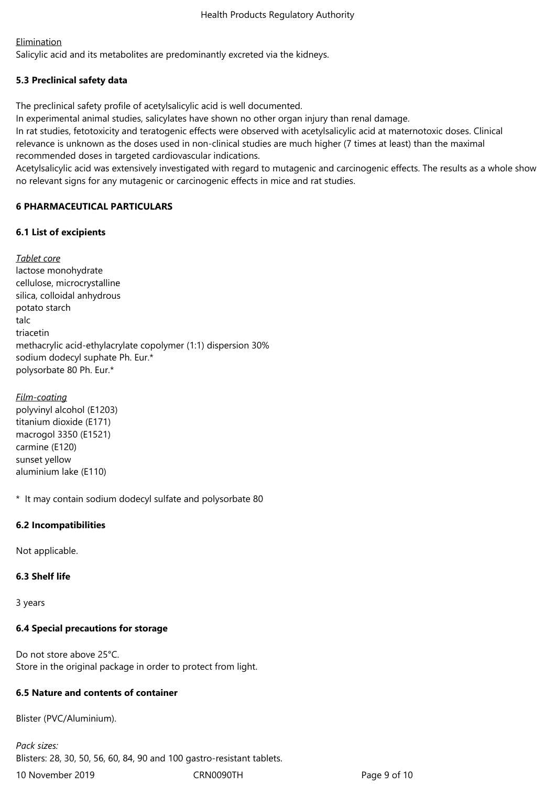### **Elimination**

Salicylic acid and its metabolites are predominantly excreted via the kidneys.

# **5.3 Preclinical safety data**

The preclinical safety profile of acetylsalicylic acid is well documented.

In experimental animal studies, salicylates have shown no other organ injury than renal damage.

In rat studies, fetotoxicity and teratogenic effects were observed with acetylsalicylic acid at maternotoxic doses. Clinical relevance is unknown as the doses used in non-clinical studies are much higher (7 times at least) than the maximal recommended doses in targeted cardiovascular indications.

Acetylsalicylic acid was extensively investigated with regard to mutagenic and carcinogenic effects. The results as a whole show no relevant signs for any mutagenic or carcinogenic effects in mice and rat studies.

# **6 PHARMACEUTICAL PARTICULARS**

# **6.1 List of excipients**

*Tablet core* lactose monohydrate cellulose, microcrystalline silica, colloidal anhydrous potato starch talc triacetin methacrylic acid-ethylacrylate copolymer (1:1) dispersion 30% sodium dodecyl suphate Ph. Eur.\* polysorbate 80 Ph. Eur.\*

*Film-coating* polyvinyl alcohol (E1203) titanium dioxide (E171) macrogol 3350 (E1521) carmine (E120) sunset yellow aluminium lake (E110)

\* It may contain sodium dodecyl sulfate and polysorbate 80

# **6.2 Incompatibilities**

Not applicable.

# **6.3 Shelf life**

3 years

# **6.4 Special precautions for storage**

Do not store above 25°C. Store in the original package in order to protect from light.

### **6.5 Nature and contents of container**

Blister (PVC/Aluminium).

10 November 2019 CRN0090TH Page 9 of 10 *Pack sizes:* Blisters: 28, 30, 50, 56, 60, 84, 90 and 100 gastro-resistant tablets.